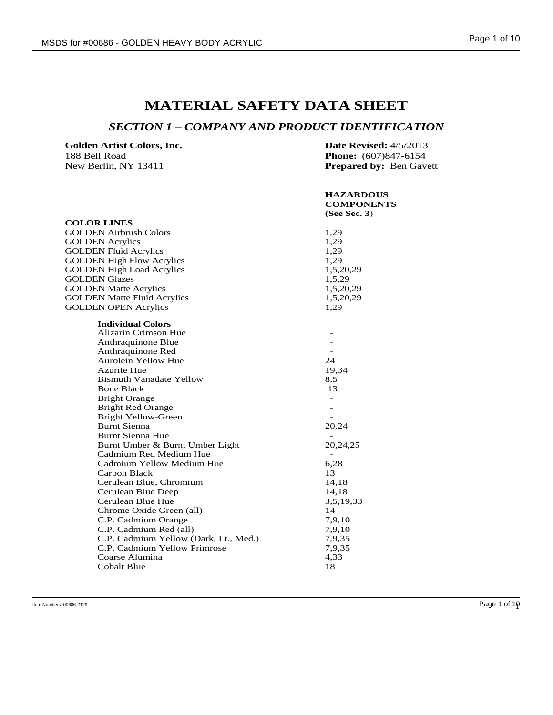# **MATERIAL SAFETY DATA SHEET**

### *SECTION 1 – COMPANY AND PRODUCT IDENTIFICATION*

| Golden Artist Colors, Inc. | <b>Date Revised:</b> $4/5/2013$ |
|----------------------------|---------------------------------|
| 188 Bell Road              | <b>Phone:</b> (607)847-6154     |
| New Berlin, NY 13411       | <b>Prepared by: Ben Gavett</b>  |

|                                       | <b>HAZARDOUS</b><br><b>COMPONENTS</b> |
|---------------------------------------|---------------------------------------|
|                                       | (See Sec. 3)                          |
| <b>COLOR LINES</b>                    |                                       |
| <b>GOLDEN Airbrush Colors</b>         | 1,29                                  |
| <b>GOLDEN</b> Acrylics                | 1,29                                  |
| <b>GOLDEN Fluid Acrylics</b>          | 1,29                                  |
| <b>GOLDEN High Flow Acrylics</b>      | 1,29                                  |
| <b>GOLDEN High Load Acrylics</b>      | 1,5,20,29                             |
| <b>GOLDEN Glazes</b>                  | 1,5,29                                |
| <b>GOLDEN Matte Acrylics</b>          | 1,5,20,29                             |
| <b>GOLDEN Matte Fluid Acrylics</b>    | 1,5,20,29                             |
| <b>GOLDEN OPEN Acrylics</b>           | 1,29                                  |
| <b>Individual Colors</b>              |                                       |
| Alizarin Crimson Hue                  |                                       |
| Anthraquinone Blue                    |                                       |
| Anthraquinone Red                     |                                       |
| Aurolein Yellow Hue                   | 24                                    |
| <b>Azurite Hue</b>                    | 19,34                                 |
| <b>Bismuth Vanadate Yellow</b>        | 8.5                                   |
| <b>Bone Black</b>                     | 13                                    |
| <b>Bright Orange</b>                  |                                       |
| <b>Bright Red Orange</b>              |                                       |
| <b>Bright Yellow-Green</b>            |                                       |
| Burnt Sienna                          | 20,24                                 |
| Burnt Sienna Hue                      |                                       |
| Burnt Umber & Burnt Umber Light       | 20,24,25                              |
| Cadmium Red Medium Hue                |                                       |
| Cadmium Yellow Medium Hue             | 6,28                                  |
| Carbon Black                          | 13                                    |
| Cerulean Blue, Chromium               | 14,18                                 |
| Cerulean Blue Deep                    | 14,18                                 |
| Cerulean Blue Hue                     | 3,5,19,33                             |
| Chrome Oxide Green (all)              | 14                                    |
| C.P. Cadmium Orange                   | 7,9,10                                |
| C.P. Cadmium Red (all)                | 7,9,10                                |
| C.P. Cadmium Yellow (Dark, Lt., Med.) | 7,9,35                                |
| C.P. Cadmium Yellow Primrose          | 7,9,35                                |
| Coarse Alumina                        | 4,33                                  |
| Cobalt Blue                           | 18                                    |
|                                       |                                       |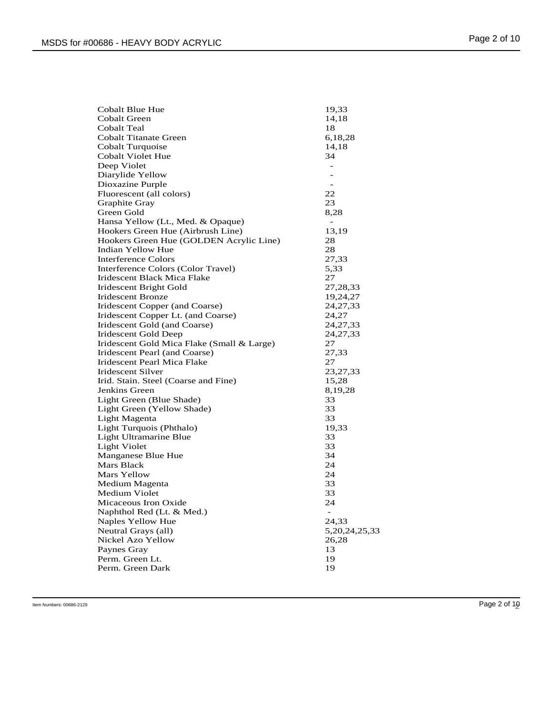| <b>Cobalt Blue Hue</b>                     | 19,33                    |
|--------------------------------------------|--------------------------|
| Cobalt Green                               | 14,18                    |
| Cobalt Teal                                | 18                       |
| <b>Cobalt Titanate Green</b>               | 6,18,28                  |
| Cobalt Turquoise                           | 14,18                    |
| Cobalt Violet Hue                          | 34                       |
| Deep Violet                                | $\overline{a}$           |
| Diarylide Yellow                           |                          |
| Dioxazine Purple                           |                          |
| Fluorescent (all colors)                   | 22                       |
| Graphite Gray                              | 23                       |
| Green Gold                                 | 8,28                     |
| Hansa Yellow (Lt., Med. & Opaque)          |                          |
| Hookers Green Hue (Airbrush Line)          | 13,19                    |
| Hookers Green Hue (GOLDEN Acrylic Line)    | 28                       |
| Indian Yellow Hue                          | 28                       |
| Interference Colors                        | 27,33                    |
| Interference Colors (Color Travel)         | 5,33                     |
| Iridescent Black Mica Flake                | 27                       |
| Iridescent Bright Gold                     | 27,28,33                 |
| <b>Iridescent Bronze</b>                   | 19,24,27                 |
| Iridescent Copper (and Coarse)             | 24, 27, 33               |
| Iridescent Copper Lt. (and Coarse)         | 24,27                    |
| Iridescent Gold (and Coarse)               | 24, 27, 33               |
| Iridescent Gold Deep                       | 24, 27, 33               |
| Iridescent Gold Mica Flake (Small & Large) | 27                       |
| Iridescent Pearl (and Coarse)              | 27,33                    |
| Iridescent Pearl Mica Flake                | 27                       |
| Iridescent Silver                          | 23, 27, 33               |
| Irid. Stain. Steel (Coarse and Fine)       | 15,28                    |
| Jenkins Green                              | 8, 19, 28                |
| Light Green (Blue Shade)                   | 33                       |
| Light Green (Yellow Shade)                 | 33                       |
| Light Magenta                              | 33                       |
| Light Turquois (Phthalo)                   | 19,33                    |
| Light Ultramarine Blue                     | 33                       |
| <b>Light Violet</b>                        | 33                       |
| Manganese Blue Hue                         | 34                       |
| Mars Black                                 | 24                       |
| Mars Yellow                                | 24                       |
| Medium Magenta                             | 33                       |
| <b>Medium Violet</b>                       | 33                       |
| Micaceous Iron Oxide                       | 24                       |
| Naphthol Red (Lt. & Med.)                  | $\overline{\phantom{m}}$ |
| Naples Yellow Hue                          | 24,33                    |
| Neutral Grays (all)                        | 5, 20, 24, 25, 33        |
| Nickel Azo Yellow                          | 26,28                    |
| Paynes Gray                                | 13                       |
| Perm. Green Lt.                            | 19                       |
| Perm. Green Dark                           | 19                       |
|                                            |                          |

Item Numbers: 00686-2129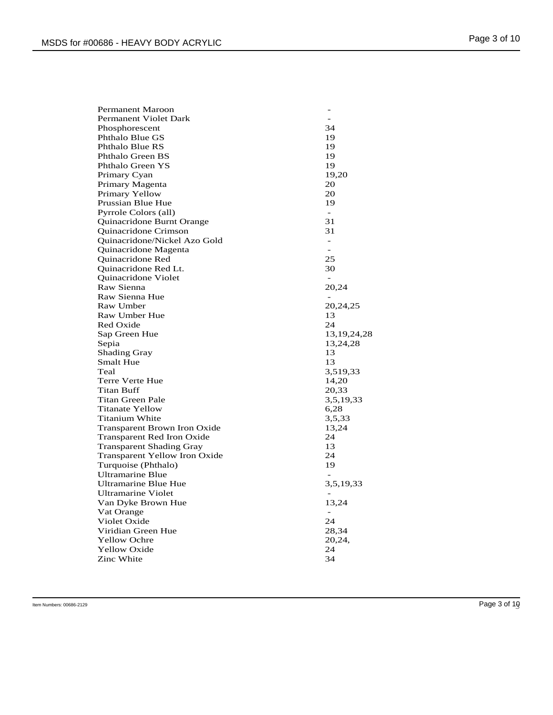| <b>Permanent Maroon</b>              |                          |
|--------------------------------------|--------------------------|
| Permanent Violet Dark                | -                        |
| Phosphorescent                       | 34                       |
| Phthalo Blue GS                      | 19                       |
| Phthalo Blue RS                      | 19                       |
| Phthalo Green BS                     | 19                       |
| Phthalo Green YS                     | 19                       |
| Primary Cyan                         | 19,20                    |
| Primary Magenta                      | 20                       |
| Primary Yellow                       | 20                       |
| Prussian Blue Hue                    | 19                       |
| Pyrrole Colors (all)                 | $\equiv$                 |
| Quinacridone Burnt Orange            | 31                       |
| <b>Ouinacridone Crimson</b>          | 31                       |
| Quinacridone/Nickel Azo Gold         | $\equiv$                 |
| Quinacridone Magenta                 | $\overline{a}$           |
| Quinacridone Red                     | 25                       |
| Quinacridone Red Lt.                 | 30                       |
| <b>Ouinacridone Violet</b>           | $\overline{\phantom{a}}$ |
| Raw Sienna                           | 20,24                    |
| Raw Sienna Hue                       |                          |
| Raw Umber                            | 20,24,25                 |
| <b>Raw Umber Hue</b>                 | 13                       |
| Red Oxide                            | 24                       |
| Sap Green Hue                        | 13, 19, 24, 28           |
| Sepia                                | 13,24,28                 |
| <b>Shading Gray</b>                  | 13                       |
| <b>Smalt Hue</b>                     | 13                       |
| Teal                                 | 3,519,33                 |
| Terre Verte Hue                      | 14,20                    |
| <b>Titan Buff</b>                    | 20,33                    |
| Titan Green Pale                     | 3,5,19,33                |
| <b>Titanate Yellow</b>               | 6,28                     |
| Titanium White                       | 3,5,33                   |
| <b>Transparent Brown Iron Oxide</b>  | 13,24                    |
| Transparent Red Iron Oxide           | 24                       |
| <b>Transparent Shading Gray</b>      | 13                       |
| <b>Transparent Yellow Iron Oxide</b> | 24                       |
| Turquoise (Phthalo)                  | 19                       |
| <b>Ultramarine Blue</b>              |                          |
| <b>Ultramarine Blue Hue</b>          | 3,5,19,33                |
| <b>Ultramarine Violet</b>            |                          |
| Van Dyke Brown Hue                   | 13,24                    |
| Vat Orange                           | $\blacksquare$           |
| Violet Oxide                         | 24                       |
| Viridian Green Hue                   | 28,34                    |
| <b>Yellow Ochre</b>                  | 20,24,                   |
| <b>Yellow Oxide</b>                  | 24                       |
| Zinc White                           | 34                       |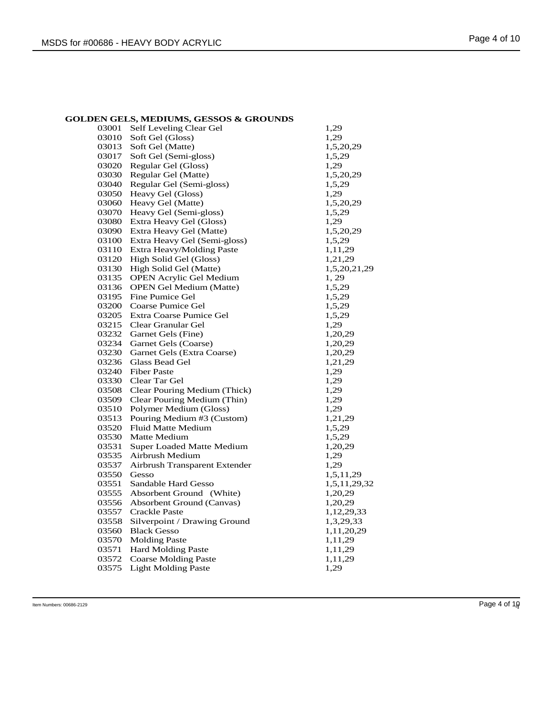| <b>GOLDEN GELS, MEDIUMS, GESSOS &amp; GROUNDS</b> |  |
|---------------------------------------------------|--|
|                                                   |  |

| 03001 | Self Leveling Clear Gel          | 1,29         |
|-------|----------------------------------|--------------|
| 03010 | Soft Gel (Gloss)                 | 1,29         |
| 03013 | Soft Gel (Matte)                 | 1,5,20,29    |
| 03017 | Soft Gel (Semi-gloss)            | 1,5,29       |
| 03020 | Regular Gel (Gloss)              | 1,29         |
| 03030 | Regular Gel (Matte)              | 1,5,20,29    |
| 03040 | Regular Gel (Semi-gloss)         | 1,5,29       |
| 03050 | Heavy Gel (Gloss)                | 1,29         |
| 03060 | Heavy Gel (Matte)                | 1,5,20,29    |
| 03070 | Heavy Gel (Semi-gloss)           | 1,5,29       |
| 03080 | Extra Heavy Gel (Gloss)          | 1,29         |
| 03090 | Extra Heavy Gel (Matte)          | 1,5,20,29    |
| 03100 | Extra Heavy Gel (Semi-gloss)     | 1,5,29       |
| 03110 | Extra Heavy/Molding Paste        | 1,11,29      |
| 03120 | High Solid Gel (Gloss)           | 1,21,29      |
| 03130 | High Solid Gel (Matte)           | 1,5,20,21,29 |
| 03135 | <b>OPEN Acrylic Gel Medium</b>   | 1,29         |
| 03136 | <b>OPEN Gel Medium (Matte)</b>   | 1,5,29       |
| 03195 | Fine Pumice Gel                  | 1,5,29       |
| 03200 | Coarse Pumice Gel                | 1,5,29       |
| 03205 | Extra Coarse Pumice Gel          | 1,5,29       |
| 03215 | Clear Granular Gel               | 1,29         |
| 03232 | Garnet Gels (Fine)               | 1,20,29      |
| 03234 | Garnet Gels (Coarse)             | 1,20,29      |
| 03230 | Garnet Gels (Extra Coarse)       | 1,20,29      |
| 03236 | Glass Bead Gel                   | 1,21,29      |
| 03240 | <b>Fiber Paste</b>               | 1,29         |
| 03330 | Clear Tar Gel                    | 1,29         |
| 03508 | Clear Pouring Medium (Thick)     | 1,29         |
| 03509 | Clear Pouring Medium (Thin)      | 1,29         |
| 03510 | Polymer Medium (Gloss)           | 1,29         |
| 03513 | Pouring Medium #3 (Custom)       | 1,21,29      |
| 03520 | Fluid Matte Medium               | 1,5,29       |
| 03530 | Matte Medium                     | 1,5,29       |
| 03531 | <b>Super Loaded Matte Medium</b> | 1,20,29      |
| 03535 | Airbrush Medium                  | 1,29         |
| 03537 | Airbrush Transparent Extender    | 1,29         |
| 03550 | Gesso                            | 1,5,11,29    |
| 03551 | Sandable Hard Gesso              | 1,5,11,29,32 |
| 03555 | Absorbent Ground (White)         | 1,20,29      |
| 03556 | Absorbent Ground (Canvas)        | 1,20,29      |
| 03557 | <b>Crackle Paste</b>             | 1,12,29,33   |
| 03558 | Silverpoint / Drawing Ground     | 1,3,29,33    |
| 03560 | <b>Black Gesso</b>               | 1,11,20,29   |
| 03570 | <b>Molding Paste</b>             | 1,11,29      |
| 03571 | <b>Hard Molding Paste</b>        | 1,11,29      |
| 03572 | <b>Coarse Molding Paste</b>      | 1,11,29      |
| 03575 | <b>Light Molding Paste</b>       | 1,29         |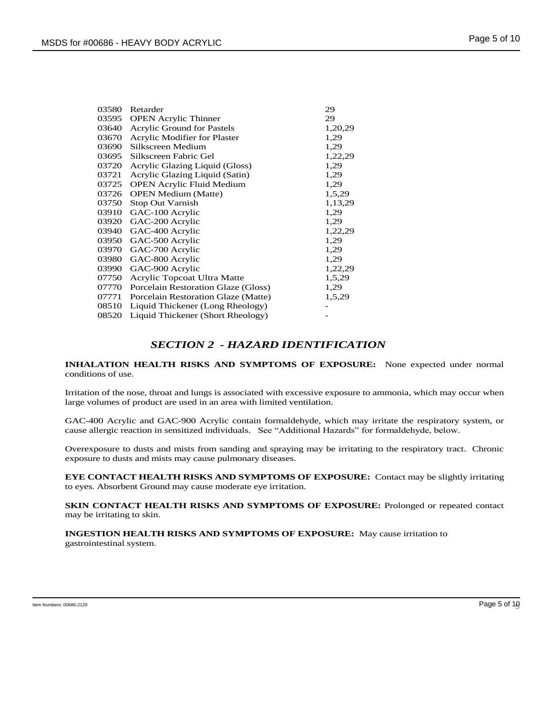| 03580 | Retarder                            | 29      |
|-------|-------------------------------------|---------|
| 03595 | <b>OPEN Acrylic Thinner</b>         | 29      |
| 03640 | <b>Acrylic Ground for Pastels</b>   | 1,20,29 |
| 03670 | Acrylic Modifier for Plaster        | 1,29    |
| 03690 | Silkscreen Medium                   | 1,29    |
| 03695 | Silkscreen Fabric Gel               | 1,22,29 |
| 03720 | Acrylic Glazing Liquid (Gloss)      | 1,29    |
| 03721 | Acrylic Glazing Liquid (Satin)      | 1,29    |
| 03725 | <b>OPEN Acrylic Fluid Medium</b>    | 1,29    |
| 03726 | <b>OPEN Medium (Matte)</b>          | 1,5,29  |
| 03750 | <b>Stop Out Varnish</b>             | 1,13,29 |
| 03910 | GAC-100 Acrylic                     | 1,29    |
| 03920 | GAC-200 Acrylic                     | 1,29    |
| 03940 | GAC-400 Acrylic                     | 1,22,29 |
| 03950 | GAC-500 Acrylic                     | 1,29    |
| 03970 | GAC-700 Acrylic                     | 1,29    |
| 03980 | GAC-800 Acrylic                     | 1,29    |
| 03990 | GAC-900 Acrylic                     | 1,22,29 |
| 07750 | Acrylic Topcoat Ultra Matte         | 1,5,29  |
| 07770 | Porcelain Restoration Glaze (Gloss) | 1,29    |
| 07771 | Porcelain Restoration Glaze (Matte) | 1,5,29  |
| 08510 | Liquid Thickener (Long Rheology)    |         |
| 08520 | Liquid Thickener (Short Rheology)   |         |
|       |                                     |         |

# *SECTION 2 - HAZARD IDENTIFICATION*

**INHALATION HEALTH RISKS AND SYMPTOMS OF EXPOSURE:** None expected under normal conditions of use.

Irritation of the nose, throat and lungs is associated with excessive exposure to ammonia, which may occur when large volumes of product are used in an area with limited ventilation.

GAC-400 Acrylic and GAC-900 Acrylic contain formaldehyde, which may irritate the respiratory system, or cause allergic reaction in sensitized individuals. See "Additional Hazards" for formaldehyde, below.

Overexposure to dusts and mists from sanding and spraying may be irritating to the respiratory tract. Chronic exposure to dusts and mists may cause pulmonary diseases.

**EYE CONTACT HEALTH RISKS AND SYMPTOMS OF EXPOSURE:** Contact may be slightly irritating to eyes. Absorbent Ground may cause moderate eye irritation.

**SKIN CONTACT HEALTH RISKS AND SYMPTOMS OF EXPOSURE:** Prolonged or repeated contact may be irritating to skin.

**INGESTION HEALTH RISKS AND SYMPTOMS OF EXPOSURE:** May cause irritation to gastrointestinal system.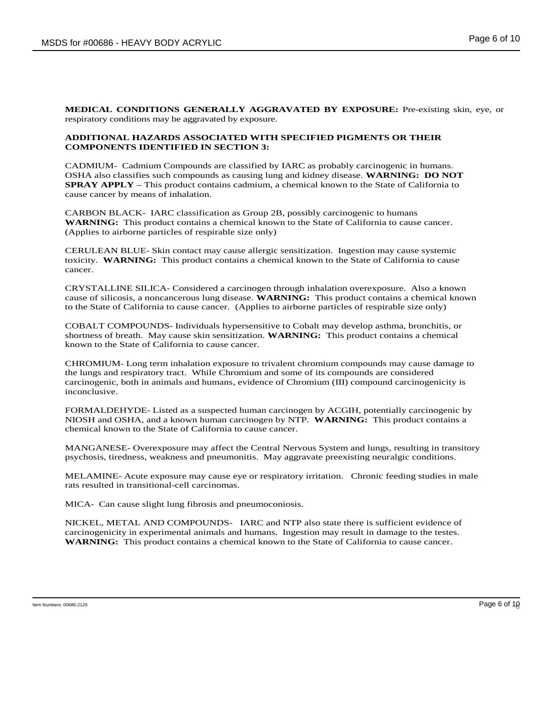**MEDICAL CONDITIONS GENERALLY AGGRAVATED BY EXPOSURE:** Pre-existing skin, eye, or respiratory conditions may be aggravated by exposure.

#### **ADDITIONAL HAZARDS ASSOCIATED WITH SPECIFIED PIGMENTS OR THEIR COMPONENTS IDENTIFIED IN SECTION 3:**

CADMIUM- Cadmium Compounds are classified by IARC as probably carcinogenic in humans. OSHA also classifies such compounds as causing lung and kidney disease. **WARNING: DO NOT SPRAY APPLY –** This product contains cadmium, a chemical known to the State of California to cause cancer by means of inhalation.

CARBON BLACK- IARC classification as Group 2B, possibly carcinogenic to humans **WARNING:** This product contains a chemical known to the State of California to cause cancer. (Applies to airborne particles of respirable size only)

CERULEAN BLUE- Skin contact may cause allergic sensitization. Ingestion may cause systemic toxicity. **WARNING:** This product contains a chemical known to the State of California to cause cancer.

CRYSTALLINE SILICA- Considered a carcinogen through inhalation overexposure. Also a known cause of silicosis, a noncancerous lung disease. **WARNING:** This product contains a chemical known to the State of California to cause cancer. (Applies to airborne particles of respirable size only)

COBALT COMPOUNDS- Individuals hypersensitive to Cobalt may develop asthma, bronchitis, or shortness of breath. May cause skin sensitization. **WARNING:** This product contains a chemical known to the State of California to cause cancer.

CHROMIUM- Long term inhalation exposure to trivalent chromium compounds may cause damage to the lungs and respiratory tract. While Chromium and some of its compounds are considered carcinogenic, both in animals and humans, evidence of Chromium (III) compound carcinogenicity is inconclusive.

FORMALDEHYDE- Listed as a suspected human carcinogen by ACGIH, potentially carcinogenic by NIOSH and OSHA, and a known human carcinogen by NTP. **WARNING:** This product contains a chemical known to the State of California to cause cancer.

MANGANESE- Overexposure may affect the Central Nervous System and lungs, resulting in transitory psychosis, tiredness, weakness and pneumonitis. May aggravate preexisting neuralgic conditions.

MELAMINE- Acute exposure may cause eye or respiratory irritation. Chronic feeding studies in male rats resulted in transitional-cell carcinomas.

MICA- Can cause slight lung fibrosis and pneumoconiosis.

NICKEL, METAL AND COMPOUNDS- IARC and NTP also state there is sufficient evidence of carcinogenicity in experimental animals and humans. Ingestion may result in damage to the testes. **WARNING:** This product contains a chemical known to the State of California to cause cancer.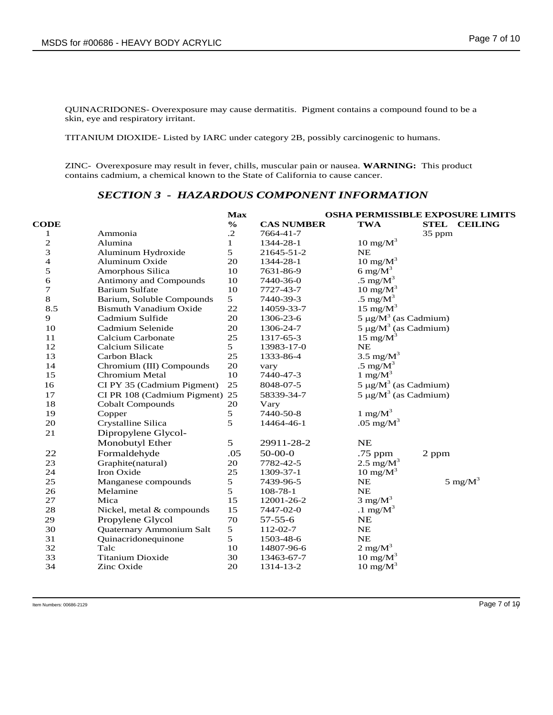QUINACRIDONES- Overexposure may cause dermatitis. Pigment contains a compound found to be a skin, eye and respiratory irritant.

TITANIUM DIOXIDE- Listed by IARC under category 2B, possibly carcinogenic to humans.

ZINC- Overexposure may result in fever, chills, muscular pain or nausea. **WARNING:** This product contains cadmium, a chemical known to the State of California to cause cancer.

# *SECTION 3 - HAZARDOUS COMPONENT INFORMATION*

|              |                                | <b>Max</b>    |                   |                            | <b>OSHA PERMISSIBLE EXPOSURE LIMITS</b> |  |
|--------------|--------------------------------|---------------|-------------------|----------------------------|-----------------------------------------|--|
| <b>CODE</b>  |                                | $\frac{6}{6}$ | <b>CAS NUMBER</b> | <b>TWA</b>                 | <b>STEL</b><br><b>CEILING</b>           |  |
| 1            | Ammonia                        | $\cdot$ .2    | 7664-41-7         |                            | 35 ppm                                  |  |
| $\mathbf{2}$ | Alumina                        | $\mathbf 1$   | 1344-28-1         | $10 \text{ mg/M}^3$        |                                         |  |
| 3            | Aluminum Hydroxide             | 5             | 21645-51-2        | NE                         |                                         |  |
| 4            | Aluminum Oxide                 | 20            | 1344-28-1         | $10 \text{ mg/M}^3$        |                                         |  |
| 5            | Amorphous Silica               | 10            | 7631-86-9         | 6 mg/ $M^3$                |                                         |  |
| 6            | Antimony and Compounds         | 10            | 7440-36-0         | .5 mg/ $M^3$               |                                         |  |
| 7            | <b>Barium Sulfate</b>          | 10            | 7727-43-7         | $10 \text{ mg/M}^3$        |                                         |  |
| 8            | Barium, Soluble Compounds      | 5             | 7440-39-3         | .5 mg/ $M^3$               |                                         |  |
| 8.5          | <b>Bismuth Vanadium Oxide</b>  | 22            | 14059-33-7        | 15 mg/ $M^3$               |                                         |  |
| 9            | Cadmium Sulfide                | 20            | 1306-23-6         | $5 \mu g/M^3$ (as Cadmium) |                                         |  |
| 10           | Cadmium Selenide               | 20            | 1306-24-7         | $5 \mu g/M^3$ (as Cadmium) |                                         |  |
| 11           | Calcium Carbonate              | 25            | 1317-65-3         | 15 mg/ $M^3$               |                                         |  |
| 12           | Calcium Silicate               | 5             | 13983-17-0        | <b>NE</b>                  |                                         |  |
| 13           | Carbon Black                   | 25            | 1333-86-4         | 3.5 mg/ $M^3$              |                                         |  |
| 14           | Chromium (III) Compounds       | 20            | vary              | .5 mg/ $M^3$               |                                         |  |
| 15           | Chromium Metal                 | 10            | 7440-47-3         | 1 mg/ $M^3$                |                                         |  |
| 16           | CI PY 35 (Cadmium Pigment)     | 25            | 8048-07-5         |                            | $5 \mu g/M^3$ (as Cadmium)              |  |
| 17           | CI PR 108 (Cadmium Pigment) 25 |               | 58339-34-7        |                            | $5 \mu g/M^3$ (as Cadmium)              |  |
| 18           | <b>Cobalt Compounds</b>        | 20            | Vary              |                            |                                         |  |
| 19           | Copper                         | 5             | 7440-50-8         | $1 \text{ mg/M}^3$         |                                         |  |
| 20           | Crystalline Silica             | 5             | 14464-46-1        | .05 mg/ $M^3$              |                                         |  |
| 21           | Dipropylene Glycol-            |               |                   |                            |                                         |  |
|              | Monobutyl Ether                | 5             | 29911-28-2        | <b>NE</b>                  |                                         |  |
| 22           | Formaldehyde                   | .05           | $50-00-0$         | .75 ppm                    | 2 ppm                                   |  |
| 23           | Graphite(natural)              | 20            | 7782-42-5         | 2.5 mg/ $M^3$              |                                         |  |
| 24           | Iron Oxide                     | 25            | 1309-37-1         | $10 \text{ mg/M}^3$        |                                         |  |
| 25           | Manganese compounds            | 5             | 7439-96-5         | NE                         | $5 \text{ mg/M}^3$                      |  |
| 26           | Melamine                       | 5             | 108-78-1          | NE                         |                                         |  |
| 27           | Mica                           | 15            | 12001-26-2        | $3 \text{ mg/M}^3$         |                                         |  |
| 28           | Nickel, metal & compounds      | 15            | 7447-02-0         | .1 $mg/M^3$                |                                         |  |
| 29           | Propylene Glycol               | 70            | $57 - 55 - 6$     | NE                         |                                         |  |
| 30           | Quaternary Ammonium Salt       | 5             | 112-02-7          | NE                         |                                         |  |
| 31           | Quinacridonequinone            | 5             | 1503-48-6         | NE                         |                                         |  |
| 32           | Talc                           | 10            | 14807-96-6        | $2 \text{ mg/M}^3$         |                                         |  |
| 33           | <b>Titanium Dioxide</b>        | 30            | 13463-67-7        | $10 \text{ mg/M}^3$        |                                         |  |
| 34           | Zinc Oxide                     | 20            | 1314-13-2         | $10 \text{ mg/M}^3$        |                                         |  |
|              |                                |               |                   |                            |                                         |  |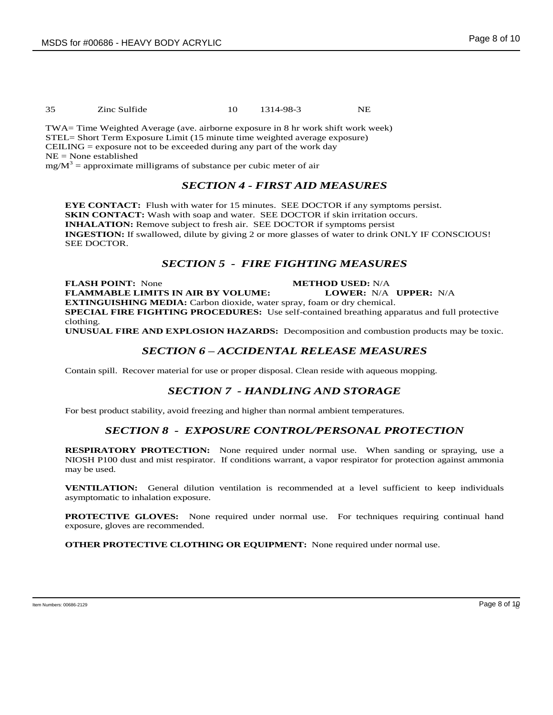35 Zinc Sulfide 10 1314-98-3 NE

TWA= Time Weighted Average (ave. airborne exposure in 8 hr work shift work week) STEL= Short Term Exposure Limit (15 minute time weighted average exposure)  $CEILING = exposure not to be exceeded during any part of the work day$ NE = None established

 $mg/M^3$  = approximate milligrams of substance per cubic meter of air

# *SECTION 4 - FIRST AID MEASURES*

**EYE CONTACT:** Flush with water for 15 minutes. SEE DOCTOR if any symptoms persist. **SKIN CONTACT:** Wash with soap and water. SEE DOCTOR if skin irritation occurs. **INHALATION:** Remove subject to fresh air. SEE DOCTOR if symptoms persist **INGESTION:** If swallowed, dilute by giving 2 or more glasses of water to drink ONLY IF CONSCIOUS! SEE DOCTOR.

# *SECTION 5 - FIRE FIGHTING MEASURES*

**FLASH POINT:** None **METHOD USED:** N/A **FLAMMABLE LIMITS IN AIR BY VOLUME: LOWER:** N/A **UPPER:** N/A **EXTINGUISHING MEDIA:** Carbon dioxide, water spray, foam or dry chemical. **SPECIAL FIRE FIGHTING PROCEDURES:** Use self-contained breathing apparatus and full protective clothing.

**UNUSUAL FIRE AND EXPLOSION HAZARDS:** Decomposition and combustion products may be toxic.

#### *SECTION 6 – ACCIDENTAL RELEASE MEASURES*

Contain spill. Recover material for use or proper disposal. Clean reside with aqueous mopping.

#### *SECTION 7 - HANDLING AND STORAGE*

For best product stability, avoid freezing and higher than normal ambient temperatures.

#### *SECTION 8 - EXPOSURE CONTROL/PERSONAL PROTECTION*

**RESPIRATORY PROTECTION:** None required under normal use. When sanding or spraying, use a NIOSH P100 dust and mist respirator. If conditions warrant, a vapor respirator for protection against ammonia may be used.

**VENTILATION:** General dilution ventilation is recommended at a level sufficient to keep individuals asymptomatic to inhalation exposure.

**PROTECTIVE GLOVES:** None required under normal use. For techniques requiring continual hand exposure, gloves are recommended.

**OTHER PROTECTIVE CLOTHING OR EQUIPMENT:** None required under normal use.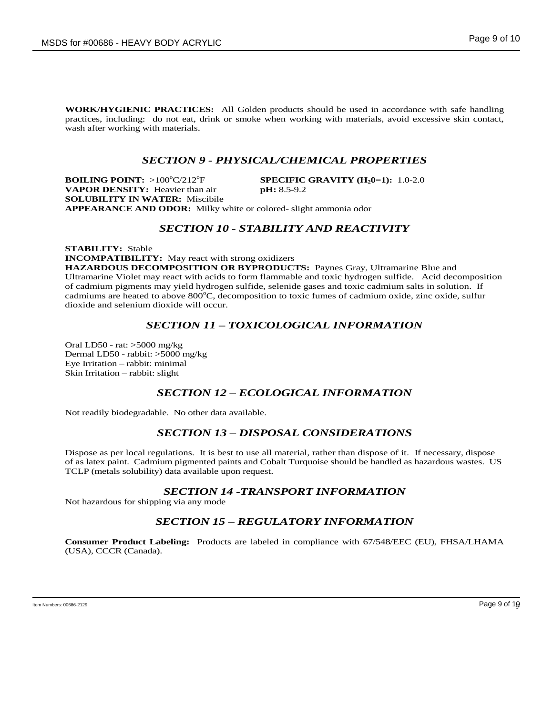**WORK/HYGIENIC PRACTICES:** All Golden products should be used in accordance with safe handling practices, including: do not eat, drink or smoke when working with materials, avoid excessive skin contact, wash after working with materials.

#### *SECTION 9 - PHYSICAL/CHEMICAL PROPERTIES*

**BOILING POINT:** >100°C/212°F **SPECIFIC GRAVITY (H<sub>2</sub>0=1):** 1.0-2.0 **VAPOR DENSITY:** Heavier than air **pH:** 8.5-9.2 **SOLUBILITY IN WATER:** Miscibile

**APPEARANCE AND ODOR:** Milky white or colored- slight ammonia odor

#### *SECTION 10 - STABILITY AND REACTIVITY*

**STABILITY:** Stable **INCOMPATIBILITY:** May react with strong oxidizers **HAZARDOUS DECOMPOSITION OR BYPRODUCTS:** Paynes Gray, Ultramarine Blue and Ultramarine Violet may react with acids to form flammable and toxic hydrogen sulfide. Acid decomposition of cadmium pigments may yield hydrogen sulfide, selenide gases and toxic cadmium salts in solution. If cadmiums are heated to above 800°C, decomposition to toxic fumes of cadmium oxide, zinc oxide, sulfur dioxide and selenium dioxide will occur.

# *SECTION 11 – TOXICOLOGICAL INFORMATION*

Oral LD50 - rat: >5000 mg/kg Dermal LD50 - rabbit: >5000 mg/kg Eye Irritation – rabbit: minimal Skin Irritation – rabbit: slight

#### *SECTION 12 – ECOLOGICAL INFORMATION*

Not readily biodegradable. No other data available.

#### *SECTION 13 – DISPOSAL CONSIDERATIONS*

Dispose as per local regulations. It is best to use all material, rather than dispose of it. If necessary, dispose of as latex paint. Cadmium pigmented paints and Cobalt Turquoise should be handled as hazardous wastes. US TCLP (metals solubility) data available upon request.

#### *SECTION 14 -TRANSPORT INFORMATION*

Not hazardous for shipping via any mode

#### *SECTION 15 – REGULATORY INFORMATION*

**Consumer Product Labeling:** Products are labeled in compliance with 67/548/EEC (EU), FHSA/LHAMA (USA), CCCR (Canada).

Item Numbers: 00686-2129 Page 9 of 10